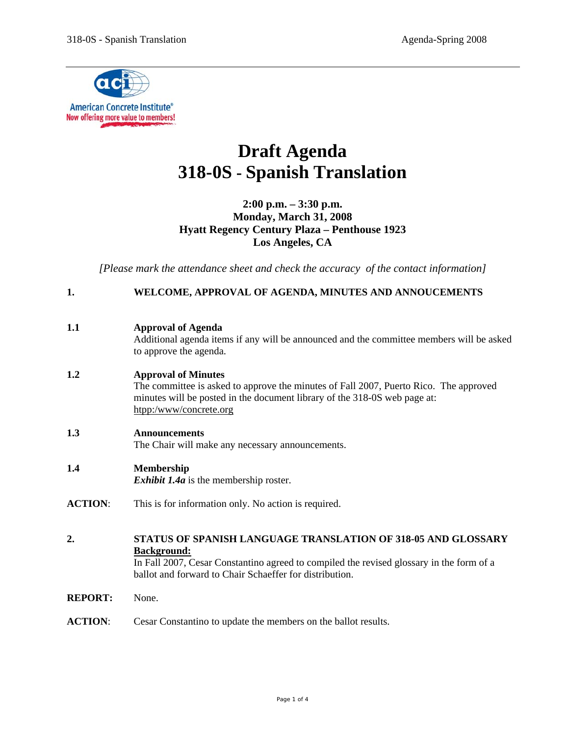

# **Draft Agenda 318-0S - Spanish Translation**

**2:00 p.m. – 3:30 p.m. Monday, March 31, 2008 Hyatt Regency Century Plaza – Penthouse 1923 Los Angeles, CA**

*[Please mark the attendance sheet and check the accuracy of the contact information]* 

# **1. WELCOME, APPROVAL OF AGENDA, MINUTES AND ANNOUCEMENTS**

Additional agenda items if any will be announced and the committee members will be asked to approve the agenda.

# **1.2 Approval of Minutes**

The committee is asked to approve the minutes of Fall 2007, Puerto Rico. The approved minutes will be posted in the document library of the 318-0S web page at: htpp:/www/concrete.org

# **1.3 Announcements**

The Chair will make any necessary announcements.

# **1.4 Membership**

*Exhibit 1.4a* is the membership roster.

- **ACTION**: This is for information only. No action is required.
- **2. STATUS OF SPANISH LANGUAGE TRANSLATION OF 318-05 AND GLOSSARY Background:**

 In Fall 2007, Cesar Constantino agreed to compiled the revised glossary in the form of a ballot and forward to Chair Schaeffer for distribution.

**REPORT:** None.

**ACTION**: Cesar Constantino to update the members on the ballot results.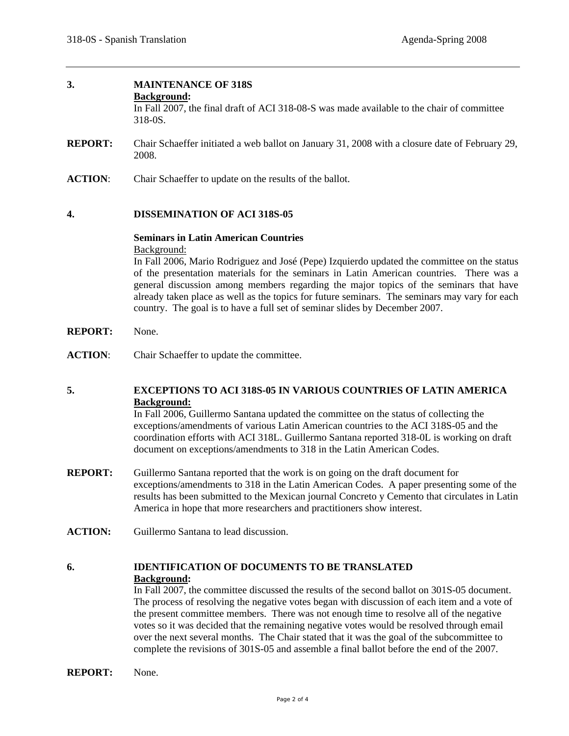# **3. MAINTENANCE OF 318S**

#### **Background:**

In Fall 2007, the final draft of ACI 318-08-S was made available to the chair of committee 318-0S.

- **REPORT:** Chair Schaeffer initiated a web ballot on January 31, 2008 with a closure date of February 29, 2008.
- **ACTION**: Chair Schaeffer to update on the results of the ballot.

#### **4. DISSEMINATION OF ACI 318S-05**

#### **Seminars in Latin American Countries**  Background:

In Fall 2006, Mario Rodriguez and José (Pepe) Izquierdo updated the committee on the status of the presentation materials for the seminars in Latin American countries. There was a general discussion among members regarding the major topics of the seminars that have already taken place as well as the topics for future seminars. The seminars may vary for each country. The goal is to have a full set of seminar slides by December 2007.

- **REPORT:** None.
- **ACTION**: Chair Schaeffer to update the committee.

# **5. EXCEPTIONS TO ACI 318S-05 IN VARIOUS COUNTRIES OF LATIN AMERICA Background:**

In Fall 2006, Guillermo Santana updated the committee on the status of collecting the exceptions/amendments of various Latin American countries to the ACI 318S-05 and the coordination efforts with ACI 318L. Guillermo Santana reported 318-0L is working on draft document on exceptions/amendments to 318 in the Latin American Codes.

- **REPORT:** Guillermo Santana reported that the work is on going on the draft document for exceptions/amendments to 318 in the Latin American Codes. A paper presenting some of the results has been submitted to the Mexican journal Concreto y Cemento that circulates in Latin America in hope that more researchers and practitioners show interest.
- **ACTION:** Guillermo Santana to lead discussion.

# **6. IDENTIFICATION OF DOCUMENTS TO BE TRANSLATED Background:**

In Fall 2007, the committee discussed the results of the second ballot on 301S-05 document. The process of resolving the negative votes began with discussion of each item and a vote of the present committee members. There was not enough time to resolve all of the negative votes so it was decided that the remaining negative votes would be resolved through email over the next several months. The Chair stated that it was the goal of the subcommittee to complete the revisions of 301S-05 and assemble a final ballot before the end of the 2007.

**REPORT:** None.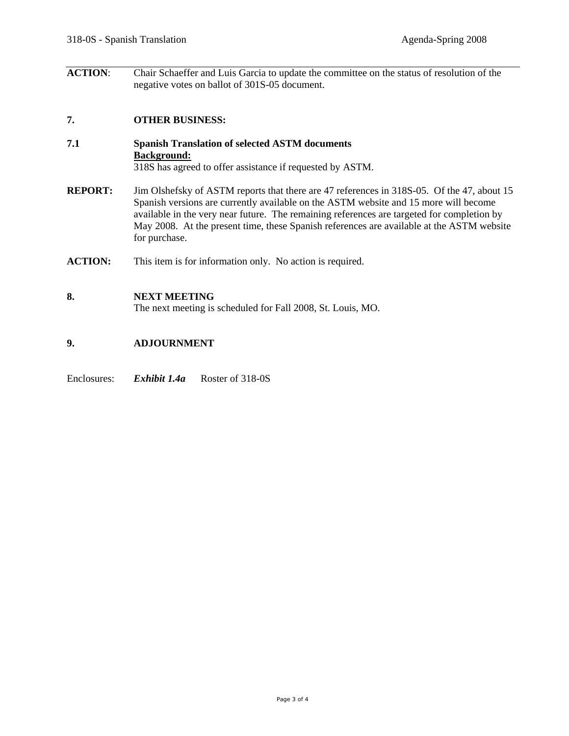**ACTION**: Chair Schaeffer and Luis Garcia to update the committee on the status of resolution of the negative votes on ballot of 301S-05 document.

### **7. OTHER BUSINESS:**

- **7.1 Spanish Translation of selected ASTM documents Background:** 318S has agreed to offer assistance if requested by ASTM.
- **REPORT:** Jim Olshefsky of ASTM reports that there are 47 references in 318S-05. Of the 47, about 15 Spanish versions are currently available on the ASTM website and 15 more will become available in the very near future. The remaining references are targeted for completion by May 2008. At the present time, these Spanish references are available at the ASTM website for purchase.
- **ACTION:** This item is for information only. No action is required.

#### **8. NEXT MEETING**

The next meeting is scheduled for Fall 2008, St. Louis, MO.

#### **9. ADJOURNMENT**

### Enclosures: *Exhibit 1.4a* Roster of 318-0S